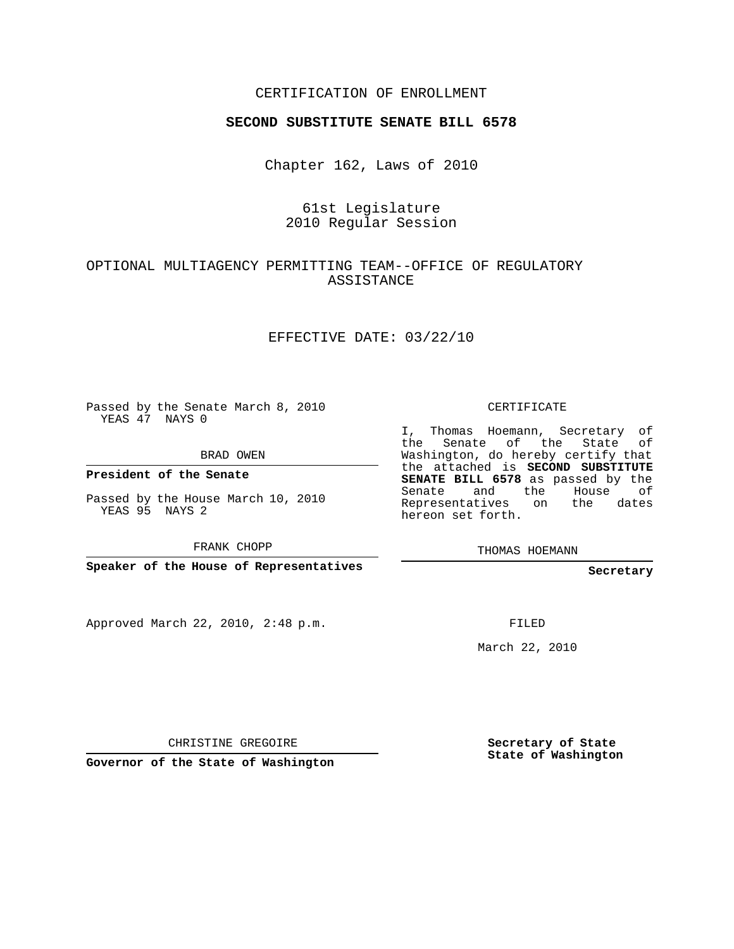### CERTIFICATION OF ENROLLMENT

#### **SECOND SUBSTITUTE SENATE BILL 6578**

Chapter 162, Laws of 2010

## 61st Legislature 2010 Regular Session

## OPTIONAL MULTIAGENCY PERMITTING TEAM--OFFICE OF REGULATORY ASSISTANCE

#### EFFECTIVE DATE: 03/22/10

Passed by the Senate March 8, 2010 YEAS 47 NAYS 0

BRAD OWEN

**President of the Senate**

Passed by the House March 10, 2010 YEAS 95 NAYS 2

FRANK CHOPP

**Speaker of the House of Representatives**

Approved March 22, 2010, 2:48 p.m.

CERTIFICATE

I, Thomas Hoemann, Secretary of the Senate of the State of Washington, do hereby certify that the attached is **SECOND SUBSTITUTE SENATE BILL 6578** as passed by the Senate and the House of Representatives on the dates hereon set forth.

THOMAS HOEMANN

**Secretary**

FILED

March 22, 2010

CHRISTINE GREGOIRE

**Governor of the State of Washington**

**Secretary of State State of Washington**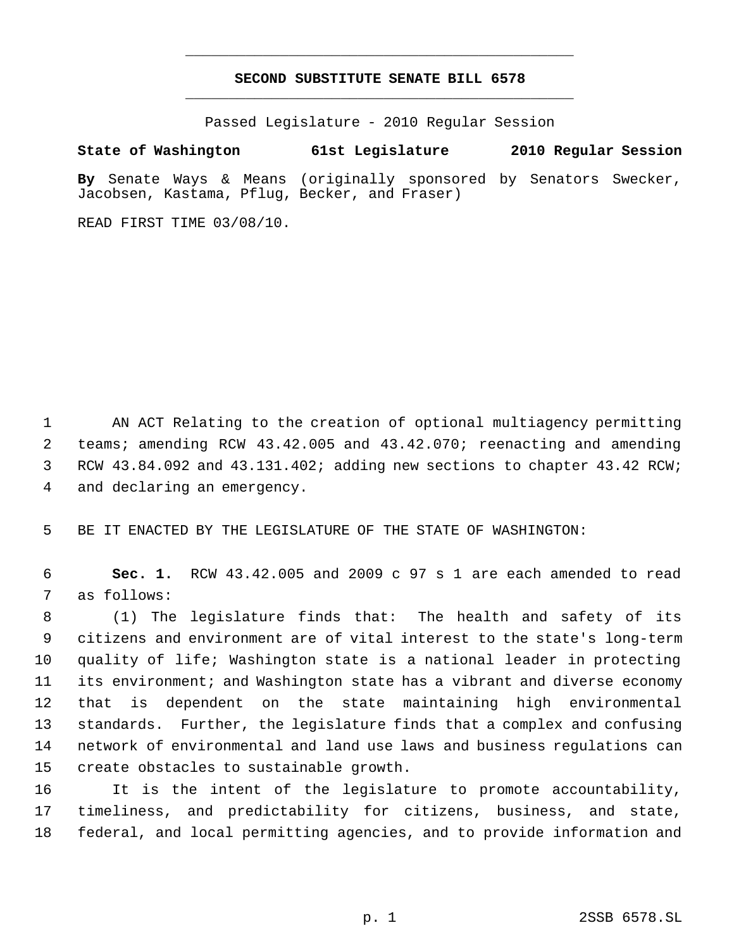# **SECOND SUBSTITUTE SENATE BILL 6578** \_\_\_\_\_\_\_\_\_\_\_\_\_\_\_\_\_\_\_\_\_\_\_\_\_\_\_\_\_\_\_\_\_\_\_\_\_\_\_\_\_\_\_\_\_

\_\_\_\_\_\_\_\_\_\_\_\_\_\_\_\_\_\_\_\_\_\_\_\_\_\_\_\_\_\_\_\_\_\_\_\_\_\_\_\_\_\_\_\_\_

Passed Legislature - 2010 Regular Session

**State of Washington 61st Legislature 2010 Regular Session**

**By** Senate Ways & Means (originally sponsored by Senators Swecker, Jacobsen, Kastama, Pflug, Becker, and Fraser)

READ FIRST TIME 03/08/10.

 AN ACT Relating to the creation of optional multiagency permitting teams; amending RCW 43.42.005 and 43.42.070; reenacting and amending RCW 43.84.092 and 43.131.402; adding new sections to chapter 43.42 RCW; and declaring an emergency.

BE IT ENACTED BY THE LEGISLATURE OF THE STATE OF WASHINGTON:

 **Sec. 1.** RCW 43.42.005 and 2009 c 97 s 1 are each amended to read as follows:

 (1) The legislature finds that: The health and safety of its citizens and environment are of vital interest to the state's long-term quality of life; Washington state is a national leader in protecting its environment; and Washington state has a vibrant and diverse economy that is dependent on the state maintaining high environmental standards. Further, the legislature finds that a complex and confusing network of environmental and land use laws and business regulations can create obstacles to sustainable growth.

 It is the intent of the legislature to promote accountability, timeliness, and predictability for citizens, business, and state, federal, and local permitting agencies, and to provide information and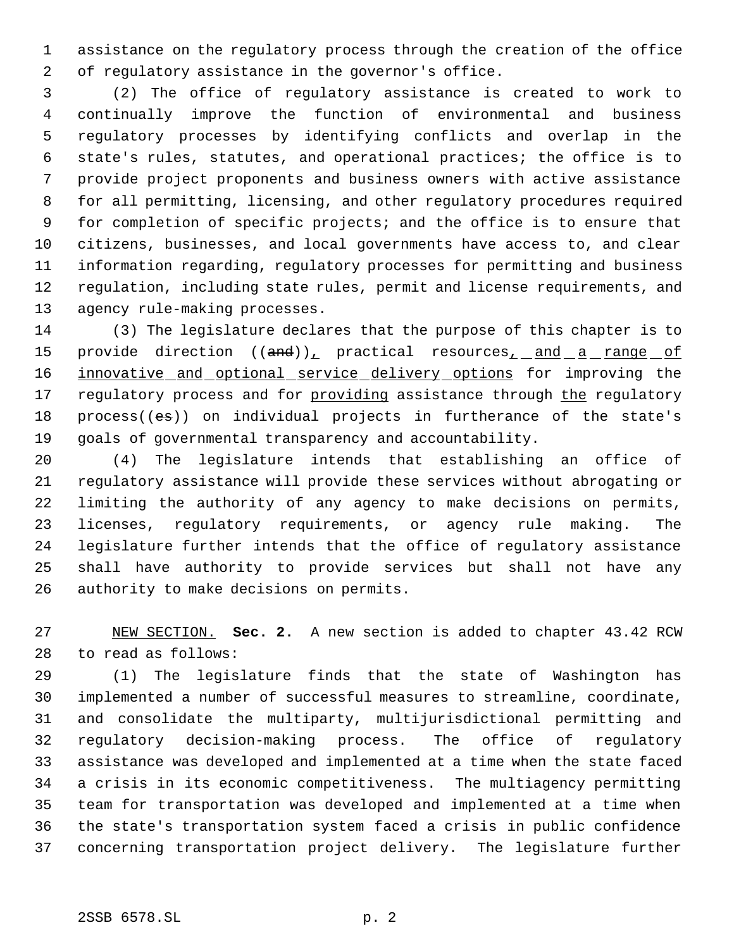assistance on the regulatory process through the creation of the office of regulatory assistance in the governor's office.

 (2) The office of regulatory assistance is created to work to continually improve the function of environmental and business regulatory processes by identifying conflicts and overlap in the state's rules, statutes, and operational practices; the office is to provide project proponents and business owners with active assistance for all permitting, licensing, and other regulatory procedures required for completion of specific projects; and the office is to ensure that citizens, businesses, and local governments have access to, and clear information regarding, regulatory processes for permitting and business regulation, including state rules, permit and license requirements, and agency rule-making processes.

 (3) The legislature declares that the purpose of this chapter is to 15 provide direction ((and)), practical resources, and a range of 16 innovative and optional service delivery options for improving the 17 regulatory process and for providing assistance through the regulatory process((es)) on individual projects in furtherance of the state's goals of governmental transparency and accountability.

 (4) The legislature intends that establishing an office of regulatory assistance will provide these services without abrogating or limiting the authority of any agency to make decisions on permits, licenses, regulatory requirements, or agency rule making. The legislature further intends that the office of regulatory assistance shall have authority to provide services but shall not have any authority to make decisions on permits.

 NEW SECTION. **Sec. 2.** A new section is added to chapter 43.42 RCW to read as follows:

 (1) The legislature finds that the state of Washington has implemented a number of successful measures to streamline, coordinate, and consolidate the multiparty, multijurisdictional permitting and regulatory decision-making process. The office of regulatory assistance was developed and implemented at a time when the state faced a crisis in its economic competitiveness. The multiagency permitting team for transportation was developed and implemented at a time when the state's transportation system faced a crisis in public confidence concerning transportation project delivery. The legislature further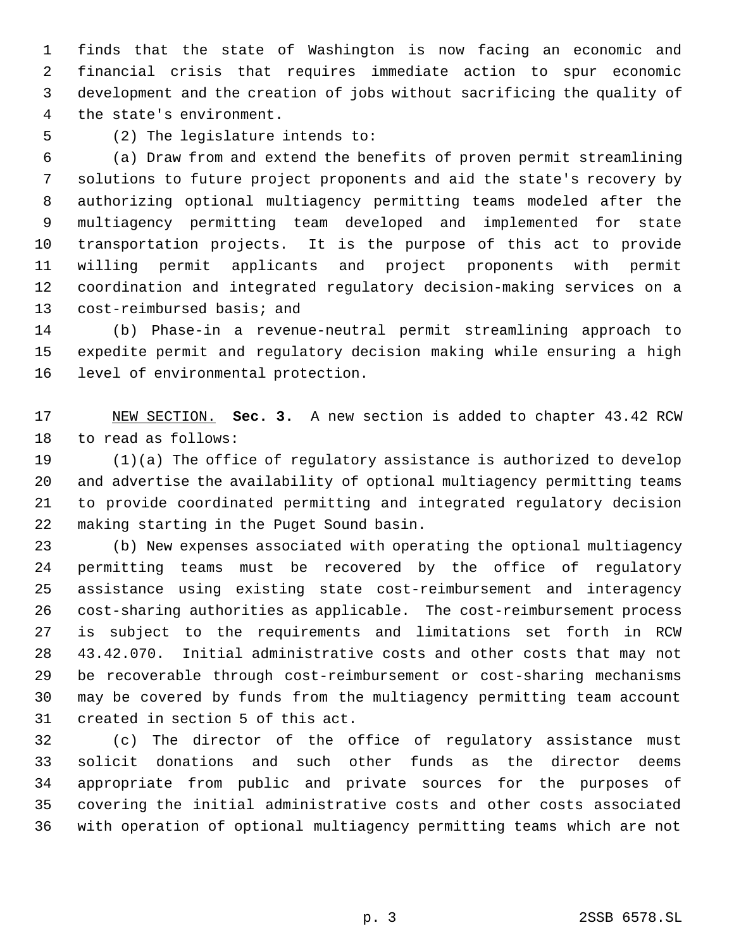finds that the state of Washington is now facing an economic and financial crisis that requires immediate action to spur economic development and the creation of jobs without sacrificing the quality of the state's environment.

(2) The legislature intends to:

 (a) Draw from and extend the benefits of proven permit streamlining solutions to future project proponents and aid the state's recovery by authorizing optional multiagency permitting teams modeled after the multiagency permitting team developed and implemented for state transportation projects. It is the purpose of this act to provide willing permit applicants and project proponents with permit coordination and integrated regulatory decision-making services on a cost-reimbursed basis; and

 (b) Phase-in a revenue-neutral permit streamlining approach to expedite permit and regulatory decision making while ensuring a high level of environmental protection.

 NEW SECTION. **Sec. 3.** A new section is added to chapter 43.42 RCW to read as follows:

 (1)(a) The office of regulatory assistance is authorized to develop and advertise the availability of optional multiagency permitting teams to provide coordinated permitting and integrated regulatory decision making starting in the Puget Sound basin.

 (b) New expenses associated with operating the optional multiagency permitting teams must be recovered by the office of regulatory assistance using existing state cost-reimbursement and interagency cost-sharing authorities as applicable. The cost-reimbursement process is subject to the requirements and limitations set forth in RCW 43.42.070. Initial administrative costs and other costs that may not be recoverable through cost-reimbursement or cost-sharing mechanisms may be covered by funds from the multiagency permitting team account created in section 5 of this act.

 (c) The director of the office of regulatory assistance must solicit donations and such other funds as the director deems appropriate from public and private sources for the purposes of covering the initial administrative costs and other costs associated with operation of optional multiagency permitting teams which are not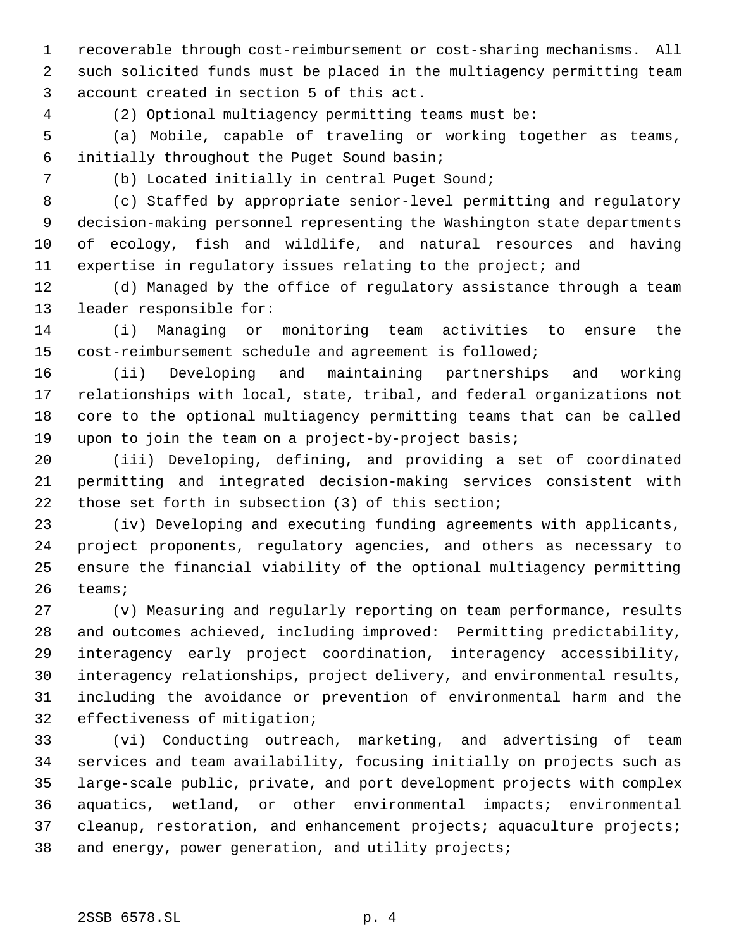recoverable through cost-reimbursement or cost-sharing mechanisms. All such solicited funds must be placed in the multiagency permitting team account created in section 5 of this act.

(2) Optional multiagency permitting teams must be:

 (a) Mobile, capable of traveling or working together as teams, initially throughout the Puget Sound basin;

(b) Located initially in central Puget Sound;

 (c) Staffed by appropriate senior-level permitting and regulatory decision-making personnel representing the Washington state departments of ecology, fish and wildlife, and natural resources and having expertise in regulatory issues relating to the project; and

 (d) Managed by the office of regulatory assistance through a team leader responsible for:

 (i) Managing or monitoring team activities to ensure the cost-reimbursement schedule and agreement is followed;

 (ii) Developing and maintaining partnerships and working relationships with local, state, tribal, and federal organizations not core to the optional multiagency permitting teams that can be called upon to join the team on a project-by-project basis;

 (iii) Developing, defining, and providing a set of coordinated permitting and integrated decision-making services consistent with those set forth in subsection (3) of this section;

 (iv) Developing and executing funding agreements with applicants, project proponents, regulatory agencies, and others as necessary to ensure the financial viability of the optional multiagency permitting teams;

 (v) Measuring and regularly reporting on team performance, results and outcomes achieved, including improved: Permitting predictability, interagency early project coordination, interagency accessibility, interagency relationships, project delivery, and environmental results, including the avoidance or prevention of environmental harm and the effectiveness of mitigation;

 (vi) Conducting outreach, marketing, and advertising of team services and team availability, focusing initially on projects such as large-scale public, private, and port development projects with complex aquatics, wetland, or other environmental impacts; environmental 37 cleanup, restoration, and enhancement projects; aquaculture projects; and energy, power generation, and utility projects;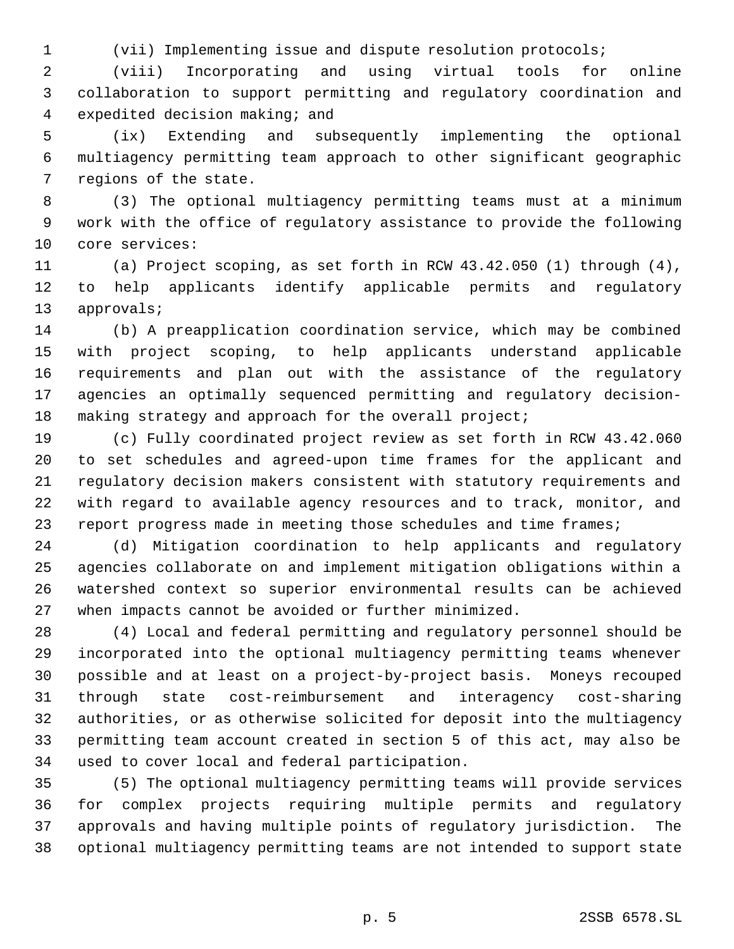(vii) Implementing issue and dispute resolution protocols;

 (viii) Incorporating and using virtual tools for online collaboration to support permitting and regulatory coordination and expedited decision making; and

 (ix) Extending and subsequently implementing the optional multiagency permitting team approach to other significant geographic regions of the state.

 (3) The optional multiagency permitting teams must at a minimum work with the office of regulatory assistance to provide the following core services:

 (a) Project scoping, as set forth in RCW 43.42.050 (1) through (4), to help applicants identify applicable permits and regulatory approvals;

 (b) A preapplication coordination service, which may be combined with project scoping, to help applicants understand applicable requirements and plan out with the assistance of the regulatory agencies an optimally sequenced permitting and regulatory decision-making strategy and approach for the overall project;

 (c) Fully coordinated project review as set forth in RCW 43.42.060 to set schedules and agreed-upon time frames for the applicant and regulatory decision makers consistent with statutory requirements and with regard to available agency resources and to track, monitor, and 23 report progress made in meeting those schedules and time frames;

 (d) Mitigation coordination to help applicants and regulatory agencies collaborate on and implement mitigation obligations within a watershed context so superior environmental results can be achieved when impacts cannot be avoided or further minimized.

 (4) Local and federal permitting and regulatory personnel should be incorporated into the optional multiagency permitting teams whenever possible and at least on a project-by-project basis. Moneys recouped through state cost-reimbursement and interagency cost-sharing authorities, or as otherwise solicited for deposit into the multiagency permitting team account created in section 5 of this act, may also be used to cover local and federal participation.

 (5) The optional multiagency permitting teams will provide services for complex projects requiring multiple permits and regulatory approvals and having multiple points of regulatory jurisdiction. The optional multiagency permitting teams are not intended to support state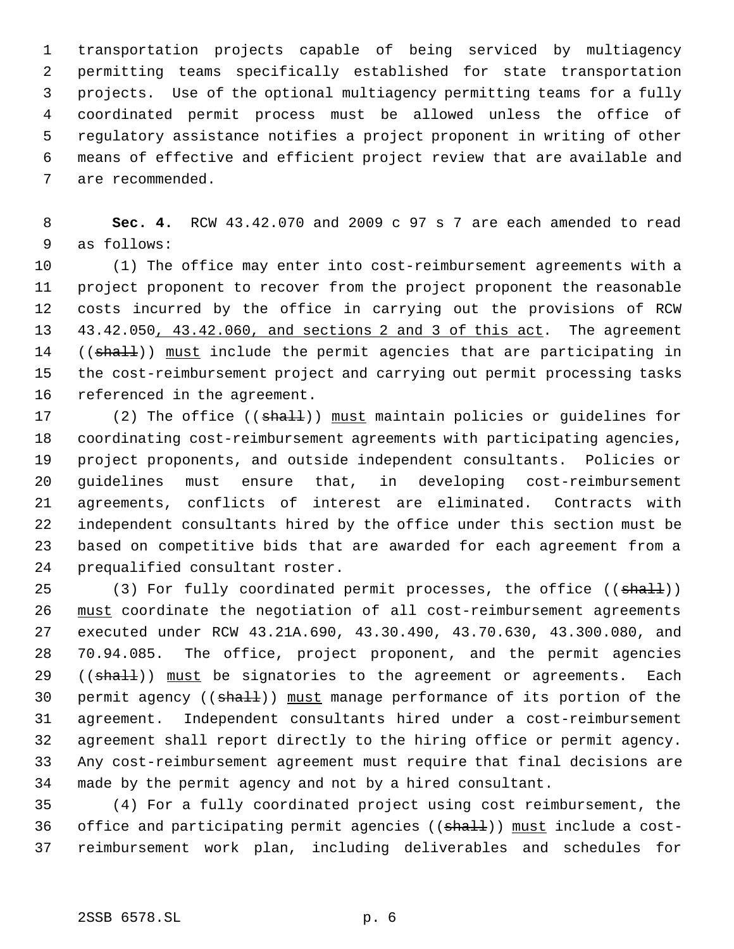transportation projects capable of being serviced by multiagency permitting teams specifically established for state transportation projects. Use of the optional multiagency permitting teams for a fully coordinated permit process must be allowed unless the office of regulatory assistance notifies a project proponent in writing of other means of effective and efficient project review that are available and are recommended.

 **Sec. 4.** RCW 43.42.070 and 2009 c 97 s 7 are each amended to read as follows:

 (1) The office may enter into cost-reimbursement agreements with a project proponent to recover from the project proponent the reasonable costs incurred by the office in carrying out the provisions of RCW 43.42.050, 43.42.060, and sections 2 and 3 of this act. The agreement 14 ((shall)) must include the permit agencies that are participating in the cost-reimbursement project and carrying out permit processing tasks referenced in the agreement.

17 (2) The office ((shall)) must maintain policies or guidelines for coordinating cost-reimbursement agreements with participating agencies, project proponents, and outside independent consultants. Policies or guidelines must ensure that, in developing cost-reimbursement agreements, conflicts of interest are eliminated. Contracts with independent consultants hired by the office under this section must be based on competitive bids that are awarded for each agreement from a prequalified consultant roster.

25 (3) For fully coordinated permit processes, the office ((shall)) must coordinate the negotiation of all cost-reimbursement agreements executed under RCW 43.21A.690, 43.30.490, 43.70.630, 43.300.080, and 70.94.085. The office, project proponent, and the permit agencies 29 ((shall)) must be signatories to the agreement or agreements. Each 30 permit agency ((shall)) must manage performance of its portion of the agreement. Independent consultants hired under a cost-reimbursement agreement shall report directly to the hiring office or permit agency. Any cost-reimbursement agreement must require that final decisions are made by the permit agency and not by a hired consultant.

 (4) For a fully coordinated project using cost reimbursement, the 36 office and participating permit agencies ((shall)) must include a cost-reimbursement work plan, including deliverables and schedules for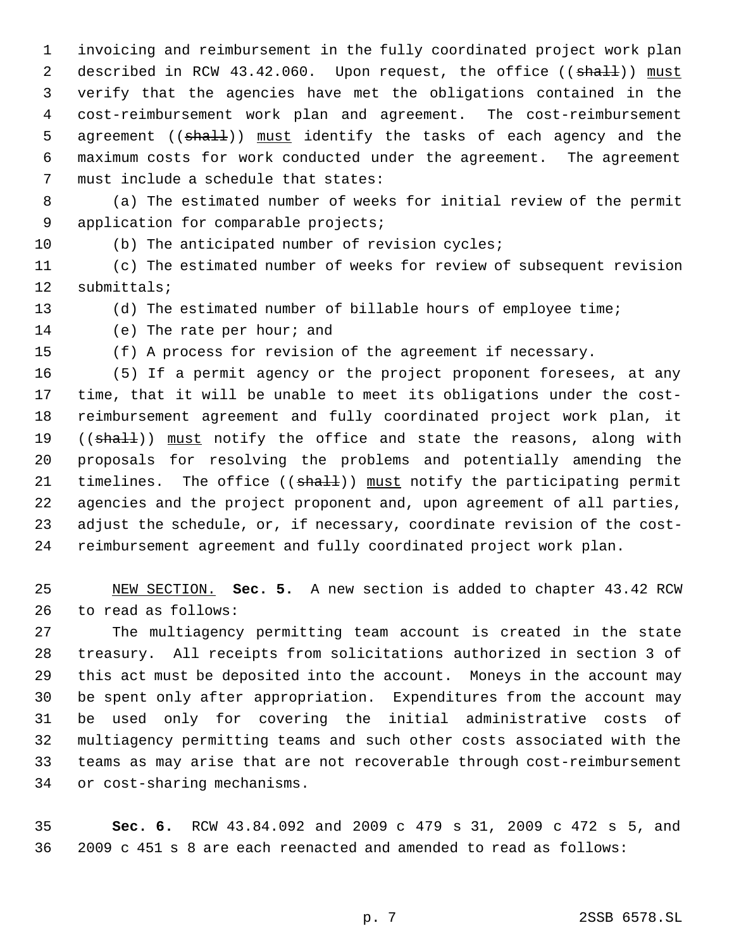invoicing and reimbursement in the fully coordinated project work plan 2 described in RCW 43.42.060. Upon request, the office ((shall)) must verify that the agencies have met the obligations contained in the cost-reimbursement work plan and agreement. The cost-reimbursement 5 agreement ((shall)) must identify the tasks of each agency and the maximum costs for work conducted under the agreement. The agreement must include a schedule that states:

 (a) The estimated number of weeks for initial review of the permit 9 application for comparable projects;

(b) The anticipated number of revision cycles;

 (c) The estimated number of weeks for review of subsequent revision submittals;

(d) The estimated number of billable hours of employee time;

(e) The rate per hour; and

(f) A process for revision of the agreement if necessary.

 (5) If a permit agency or the project proponent foresees, at any time, that it will be unable to meet its obligations under the cost- reimbursement agreement and fully coordinated project work plan, it 19 ((shall)) must notify the office and state the reasons, along with proposals for resolving the problems and potentially amending the 21 timelines. The office ((shall)) must notify the participating permit agencies and the project proponent and, upon agreement of all parties, adjust the schedule, or, if necessary, coordinate revision of the cost-reimbursement agreement and fully coordinated project work plan.

 NEW SECTION. **Sec. 5.** A new section is added to chapter 43.42 RCW to read as follows:

 The multiagency permitting team account is created in the state treasury. All receipts from solicitations authorized in section 3 of this act must be deposited into the account. Moneys in the account may be spent only after appropriation. Expenditures from the account may be used only for covering the initial administrative costs of multiagency permitting teams and such other costs associated with the teams as may arise that are not recoverable through cost-reimbursement or cost-sharing mechanisms.

 **Sec. 6.** RCW 43.84.092 and 2009 c 479 s 31, 2009 c 472 s 5, and 2009 c 451 s 8 are each reenacted and amended to read as follows: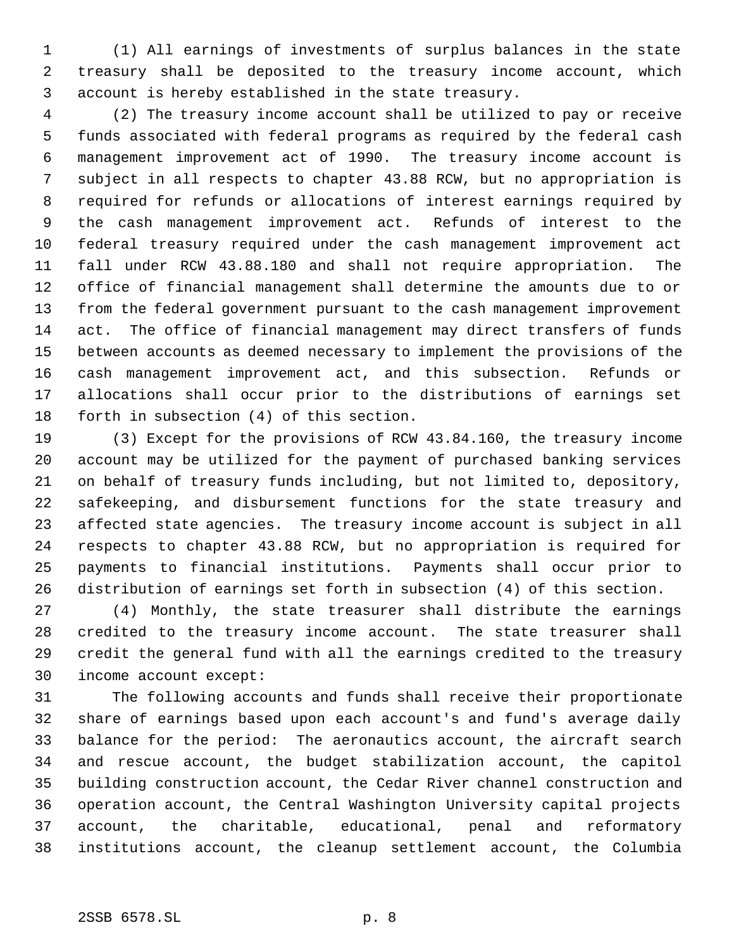(1) All earnings of investments of surplus balances in the state treasury shall be deposited to the treasury income account, which account is hereby established in the state treasury.

 (2) The treasury income account shall be utilized to pay or receive funds associated with federal programs as required by the federal cash management improvement act of 1990. The treasury income account is subject in all respects to chapter 43.88 RCW, but no appropriation is required for refunds or allocations of interest earnings required by the cash management improvement act. Refunds of interest to the federal treasury required under the cash management improvement act fall under RCW 43.88.180 and shall not require appropriation. The office of financial management shall determine the amounts due to or from the federal government pursuant to the cash management improvement act. The office of financial management may direct transfers of funds between accounts as deemed necessary to implement the provisions of the cash management improvement act, and this subsection. Refunds or allocations shall occur prior to the distributions of earnings set forth in subsection (4) of this section.

 (3) Except for the provisions of RCW 43.84.160, the treasury income account may be utilized for the payment of purchased banking services on behalf of treasury funds including, but not limited to, depository, safekeeping, and disbursement functions for the state treasury and affected state agencies. The treasury income account is subject in all respects to chapter 43.88 RCW, but no appropriation is required for payments to financial institutions. Payments shall occur prior to distribution of earnings set forth in subsection (4) of this section.

 (4) Monthly, the state treasurer shall distribute the earnings credited to the treasury income account. The state treasurer shall credit the general fund with all the earnings credited to the treasury income account except:

 The following accounts and funds shall receive their proportionate share of earnings based upon each account's and fund's average daily balance for the period: The aeronautics account, the aircraft search and rescue account, the budget stabilization account, the capitol building construction account, the Cedar River channel construction and operation account, the Central Washington University capital projects account, the charitable, educational, penal and reformatory institutions account, the cleanup settlement account, the Columbia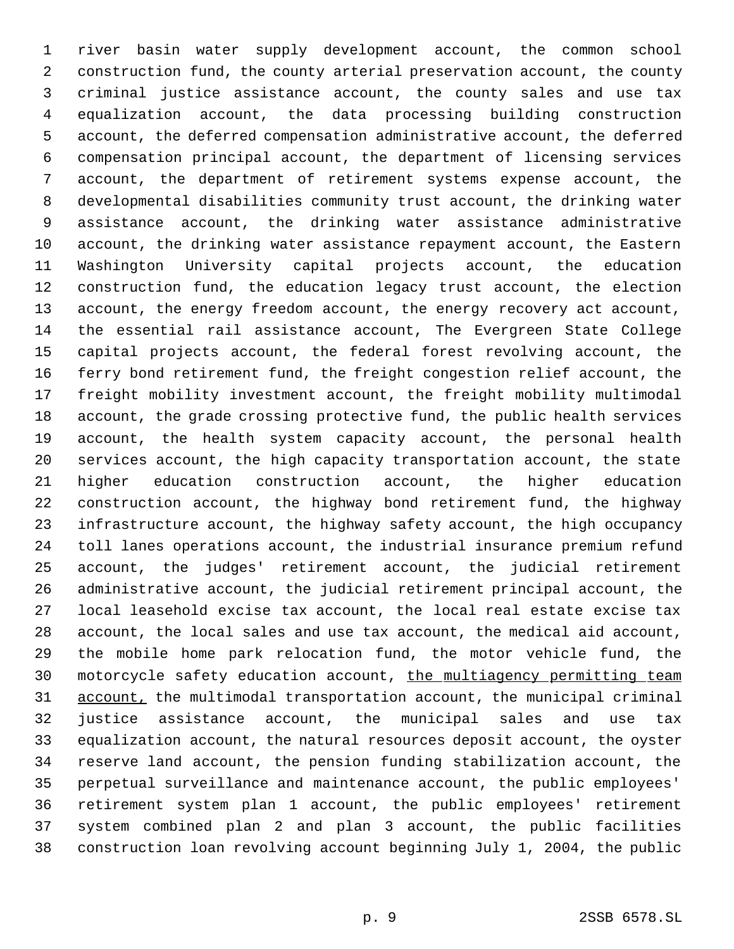river basin water supply development account, the common school construction fund, the county arterial preservation account, the county criminal justice assistance account, the county sales and use tax equalization account, the data processing building construction account, the deferred compensation administrative account, the deferred compensation principal account, the department of licensing services account, the department of retirement systems expense account, the developmental disabilities community trust account, the drinking water assistance account, the drinking water assistance administrative account, the drinking water assistance repayment account, the Eastern Washington University capital projects account, the education construction fund, the education legacy trust account, the election account, the energy freedom account, the energy recovery act account, the essential rail assistance account, The Evergreen State College capital projects account, the federal forest revolving account, the ferry bond retirement fund, the freight congestion relief account, the freight mobility investment account, the freight mobility multimodal account, the grade crossing protective fund, the public health services account, the health system capacity account, the personal health services account, the high capacity transportation account, the state higher education construction account, the higher education construction account, the highway bond retirement fund, the highway infrastructure account, the highway safety account, the high occupancy toll lanes operations account, the industrial insurance premium refund account, the judges' retirement account, the judicial retirement administrative account, the judicial retirement principal account, the local leasehold excise tax account, the local real estate excise tax account, the local sales and use tax account, the medical aid account, the mobile home park relocation fund, the motor vehicle fund, the motorcycle safety education account, the multiagency permitting team 31 account, the multimodal transportation account, the municipal criminal justice assistance account, the municipal sales and use tax equalization account, the natural resources deposit account, the oyster reserve land account, the pension funding stabilization account, the perpetual surveillance and maintenance account, the public employees' retirement system plan 1 account, the public employees' retirement system combined plan 2 and plan 3 account, the public facilities construction loan revolving account beginning July 1, 2004, the public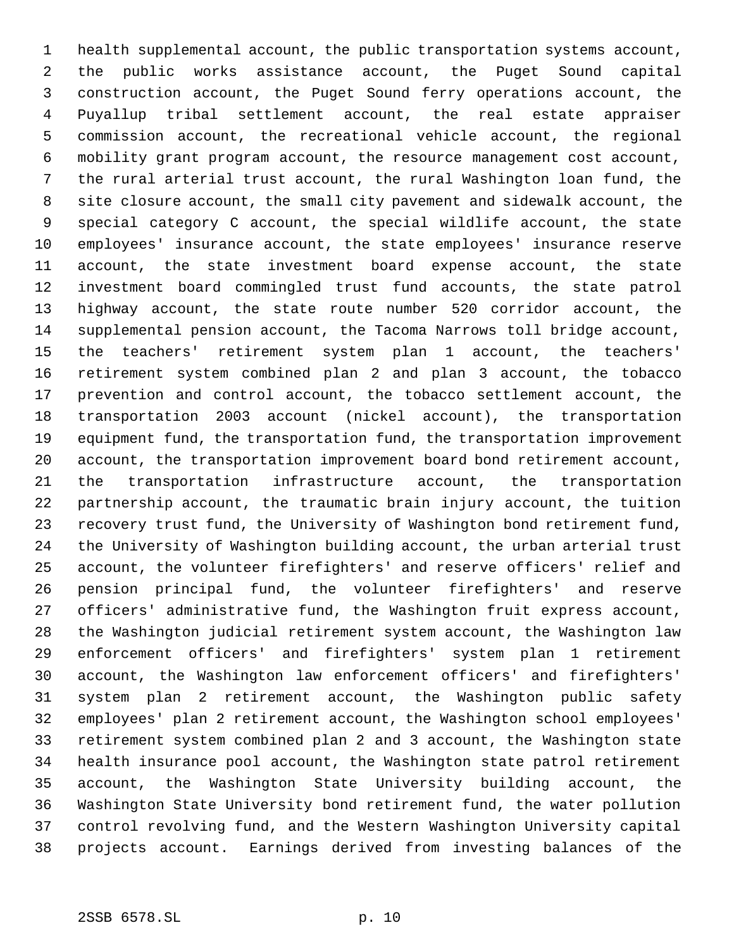health supplemental account, the public transportation systems account, the public works assistance account, the Puget Sound capital construction account, the Puget Sound ferry operations account, the Puyallup tribal settlement account, the real estate appraiser commission account, the recreational vehicle account, the regional mobility grant program account, the resource management cost account, the rural arterial trust account, the rural Washington loan fund, the site closure account, the small city pavement and sidewalk account, the special category C account, the special wildlife account, the state employees' insurance account, the state employees' insurance reserve account, the state investment board expense account, the state investment board commingled trust fund accounts, the state patrol highway account, the state route number 520 corridor account, the supplemental pension account, the Tacoma Narrows toll bridge account, the teachers' retirement system plan 1 account, the teachers' retirement system combined plan 2 and plan 3 account, the tobacco prevention and control account, the tobacco settlement account, the transportation 2003 account (nickel account), the transportation equipment fund, the transportation fund, the transportation improvement account, the transportation improvement board bond retirement account, the transportation infrastructure account, the transportation partnership account, the traumatic brain injury account, the tuition recovery trust fund, the University of Washington bond retirement fund, the University of Washington building account, the urban arterial trust account, the volunteer firefighters' and reserve officers' relief and pension principal fund, the volunteer firefighters' and reserve officers' administrative fund, the Washington fruit express account, the Washington judicial retirement system account, the Washington law enforcement officers' and firefighters' system plan 1 retirement account, the Washington law enforcement officers' and firefighters' system plan 2 retirement account, the Washington public safety employees' plan 2 retirement account, the Washington school employees' retirement system combined plan 2 and 3 account, the Washington state health insurance pool account, the Washington state patrol retirement account, the Washington State University building account, the Washington State University bond retirement fund, the water pollution control revolving fund, and the Western Washington University capital projects account. Earnings derived from investing balances of the